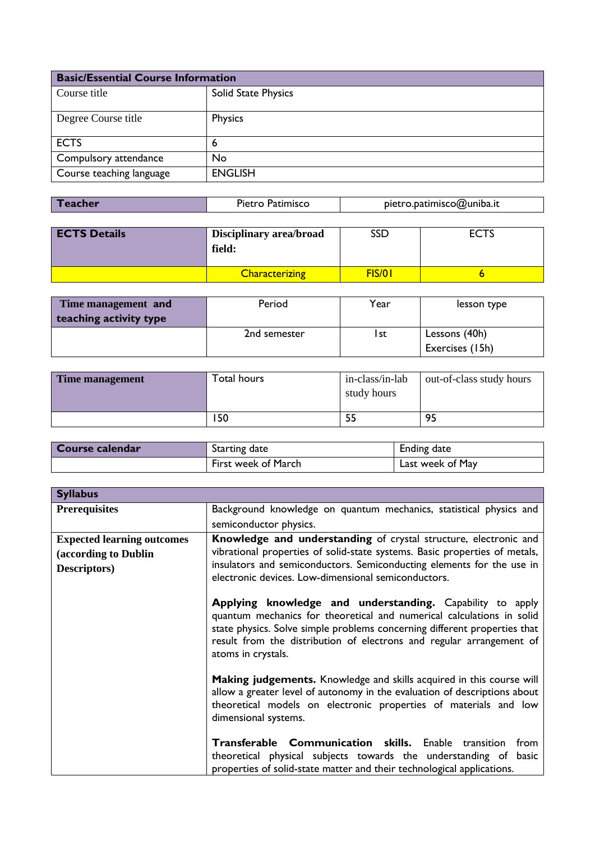| <b>Basic/Essential Course Information</b> |                     |
|-------------------------------------------|---------------------|
| Course title                              | Solid State Physics |
| Degree Course title                       | Physics             |
| <b>ECTS</b>                               | 6                   |
| Compulsory attendance                     | No                  |
| Course teaching language                  | <b>ENGLISH</b>      |

| pietro.patimisco@uniba.it<br>Pietro Patimisco<br>Teacher |  |
|----------------------------------------------------------|--|
|----------------------------------------------------------|--|

| <b>ECTS Details</b> | <b>Disciplinary area/broad</b><br>field: | SSD    | <b>ECTS</b> |
|---------------------|------------------------------------------|--------|-------------|
|                     | <b>Characterizing</b>                    | FIS/01 |             |

| Time management and    | Period       | Year | lesson type     |
|------------------------|--------------|------|-----------------|
| teaching activity type |              |      |                 |
|                        | 2nd semester | l st | Lessons (40h)   |
|                        |              |      | Exercises (15h) |

| Time management | Total hours | in-class/in-lab<br>study hours | out-of-class study hours |
|-----------------|-------------|--------------------------------|--------------------------|
|                 | 150         |                                | 95                       |

| Course calendar | Starting date       | Ending date      |
|-----------------|---------------------|------------------|
|                 | First week of March | Last week of May |

| <b>Syllabus</b>                   |                                                                                                                                                                                                                                                                                                               |
|-----------------------------------|---------------------------------------------------------------------------------------------------------------------------------------------------------------------------------------------------------------------------------------------------------------------------------------------------------------|
| <b>Prerequisites</b>              | Background knowledge on quantum mechanics, statistical physics and                                                                                                                                                                                                                                            |
|                                   | semiconductor physics.                                                                                                                                                                                                                                                                                        |
| <b>Expected learning outcomes</b> | Knowledge and understanding of crystal structure, electronic and                                                                                                                                                                                                                                              |
| (according to Dublin              | vibrational properties of solid-state systems. Basic properties of metals,                                                                                                                                                                                                                                    |
| Descriptors)                      | insulators and semiconductors. Semiconducting elements for the use in<br>electronic devices. Low-dimensional semiconductors.                                                                                                                                                                                  |
|                                   | Applying knowledge and understanding. Capability to apply<br>quantum mechanics for theoretical and numerical calculations in solid<br>state physics. Solve simple problems concerning different properties that<br>result from the distribution of electrons and regular arrangement of<br>atoms in crystals. |
|                                   | Making judgements. Knowledge and skills acquired in this course will<br>allow a greater level of autonomy in the evaluation of descriptions about<br>theoretical models on electronic properties of materials and low<br>dimensional systems.                                                                 |
|                                   | <b>Transferable Communication skills.</b> Enable transition<br>from<br>theoretical physical subjects towards the understanding of basic<br>properties of solid-state matter and their technological applications.                                                                                             |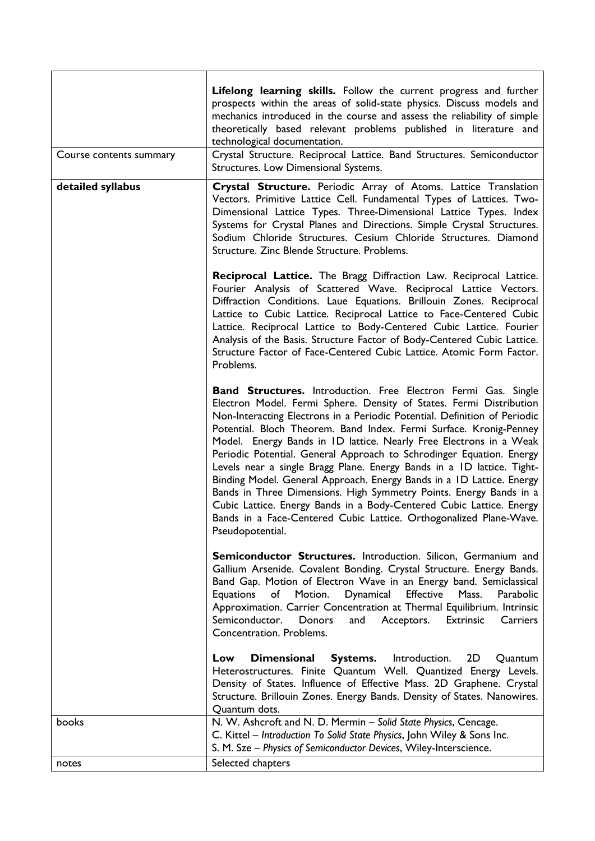| Course contents summary | Lifelong learning skills. Follow the current progress and further<br>prospects within the areas of solid-state physics. Discuss models and<br>mechanics introduced in the course and assess the reliability of simple<br>theoretically based relevant problems published in literature and<br>technological documentation.<br>Crystal Structure. Reciprocal Lattice. Band Structures. Semiconductor<br>Structures. Low Dimensional Systems.                                                                                                                                                                                                                                                                                                                                                                                              |
|-------------------------|------------------------------------------------------------------------------------------------------------------------------------------------------------------------------------------------------------------------------------------------------------------------------------------------------------------------------------------------------------------------------------------------------------------------------------------------------------------------------------------------------------------------------------------------------------------------------------------------------------------------------------------------------------------------------------------------------------------------------------------------------------------------------------------------------------------------------------------|
| detailed syllabus       | Crystal Structure. Periodic Array of Atoms. Lattice Translation<br>Vectors. Primitive Lattice Cell. Fundamental Types of Lattices. Two-<br>Dimensional Lattice Types. Three-Dimensional Lattice Types. Index<br>Systems for Crystal Planes and Directions. Simple Crystal Structures.<br>Sodium Chloride Structures. Cesium Chloride Structures. Diamond<br>Structure. Zinc Blende Structure. Problems.                                                                                                                                                                                                                                                                                                                                                                                                                                  |
|                         | Reciprocal Lattice. The Bragg Diffraction Law. Reciprocal Lattice.<br>Fourier Analysis of Scattered Wave. Reciprocal Lattice Vectors.<br>Diffraction Conditions. Laue Equations. Brillouin Zones. Reciprocal<br>Lattice to Cubic Lattice. Reciprocal Lattice to Face-Centered Cubic<br>Lattice. Reciprocal Lattice to Body-Centered Cubic Lattice. Fourier<br>Analysis of the Basis. Structure Factor of Body-Centered Cubic Lattice.<br>Structure Factor of Face-Centered Cubic Lattice. Atomic Form Factor.<br>Problems.                                                                                                                                                                                                                                                                                                               |
|                         | <b>Band Structures.</b> Introduction. Free Electron Fermi Gas. Single<br>Electron Model. Fermi Sphere. Density of States. Fermi Distribution<br>Non-Interacting Electrons in a Periodic Potential. Definition of Periodic<br>Potential. Bloch Theorem. Band Index. Fermi Surface. Kronig-Penney<br>Model. Energy Bands in ID lattice. Nearly Free Electrons in a Weak<br>Periodic Potential. General Approach to Schrodinger Equation. Energy<br>Levels near a single Bragg Plane. Energy Bands in a ID lattice. Tight-<br>Binding Model. General Approach. Energy Bands in a ID Lattice. Energy<br>Bands in Three Dimensions. High Symmetry Points. Energy Bands in a<br>Cubic Lattice. Energy Bands in a Body-Centered Cubic Lattice. Energy<br>Bands in a Face-Centered Cubic Lattice. Orthogonalized Plane-Wave.<br>Pseudopotential. |
|                         | <b>Semiconductor Structures.</b> Introduction. Silicon, Germanium and<br>Gallium Arsenide. Covalent Bonding. Crystal Structure. Energy Bands.<br>Band Gap. Motion of Electron Wave in an Energy band. Semiclassical<br>Dynamical<br><b>Effective</b><br><b>Equations</b><br>of<br>Motion.<br>Mass.<br>Parabolic<br>Approximation. Carrier Concentration at Thermal Equilibrium. Intrinsic<br>Semiconductor.<br>Donors<br>Acceptors.<br><b>Extrinsic</b><br>Carriers<br>and<br>Concentration. Problems.                                                                                                                                                                                                                                                                                                                                   |
|                         | <b>Dimensional</b><br><b>Systems.</b><br>Introduction.<br>2D<br>Quantum<br>Low<br>Heterostructures. Finite Quantum Well. Quantized Energy Levels.<br>Density of States. Influence of Effective Mass. 2D Graphene. Crystal<br>Structure. Brillouin Zones. Energy Bands. Density of States. Nanowires.<br>Quantum dots.                                                                                                                                                                                                                                                                                                                                                                                                                                                                                                                    |
| books                   | N. W. Ashcroft and N. D. Mermin - Solid State Physics, Cencage.<br>C. Kittel - Introduction To Solid State Physics, John Wiley & Sons Inc.<br>S. M. Sze - Physics of Semiconductor Devices, Wiley-Interscience.                                                                                                                                                                                                                                                                                                                                                                                                                                                                                                                                                                                                                          |
| notes                   | Selected chapters                                                                                                                                                                                                                                                                                                                                                                                                                                                                                                                                                                                                                                                                                                                                                                                                                        |